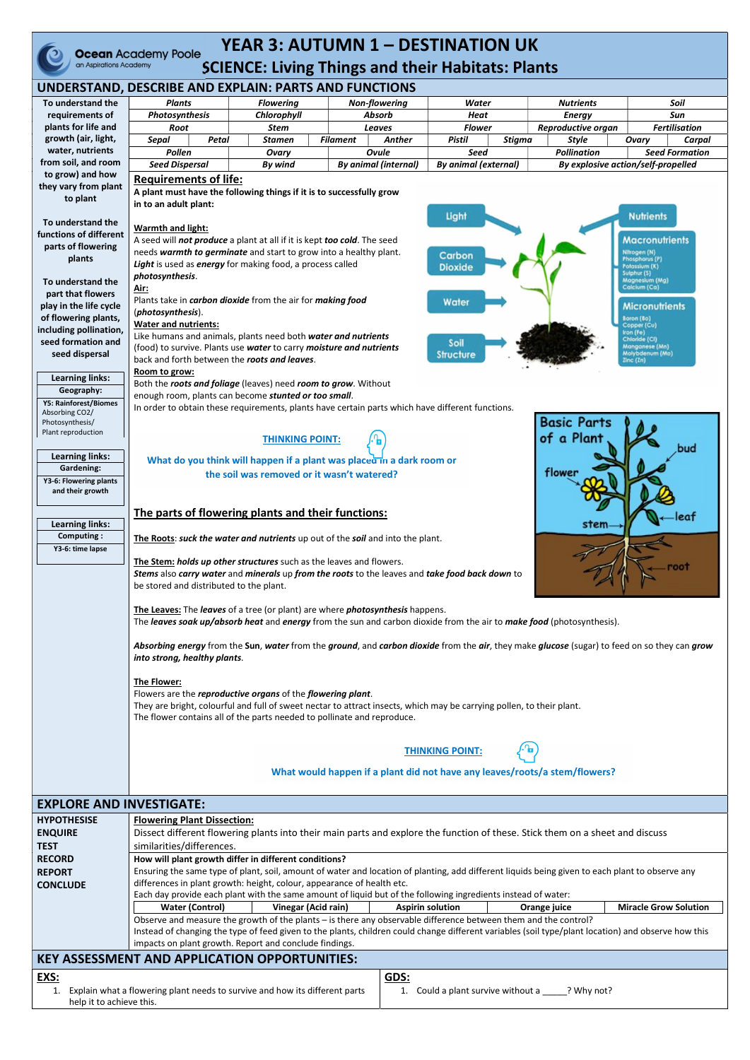

## YEAR 3: AUTUMN 1 - DESTINATION UK Ocean Academy Poole TEAN 3: AUTUIVIIV 1 - DESTINATION UN

| UNDERSTAND, DESCRIBE AND EXPLAIN: PARTS AND FUNCTIONS |                                                                                                                                                                              |                  |                 |                             |                             |               |                                    |                       |                       |  |  |  |
|-------------------------------------------------------|------------------------------------------------------------------------------------------------------------------------------------------------------------------------------|------------------|-----------------|-----------------------------|-----------------------------|---------------|------------------------------------|-----------------------|-----------------------|--|--|--|
| To understand the                                     | <b>Plants</b>                                                                                                                                                                | <b>Flowering</b> |                 | <b>Non-flowering</b>        | <b>Water</b>                |               | <b>Nutrients</b>                   |                       | Soil                  |  |  |  |
| requirements of                                       | Photosynthesis                                                                                                                                                               | Chlorophyll      | <b>Absorb</b>   |                             | <b>Heat</b>                 |               | <b>Energy</b>                      |                       | Sun                   |  |  |  |
| plants for life and                                   | Root                                                                                                                                                                         | <b>Stem</b>      | <b>Leaves</b>   |                             | <b>Flower</b>               |               | <b>Reproductive organ</b>          |                       | <b>Fertilisation</b>  |  |  |  |
| growth (air, light,                                   | Petal<br><b>Sepal</b>                                                                                                                                                        | <b>Stamen</b>    | <b>Filament</b> | Anther                      | <b>Pistil</b>               | <b>Stigma</b> | <b>Style</b>                       | Ovary                 | Carpal                |  |  |  |
| water, nutrients                                      | Pollen                                                                                                                                                                       | Ovary            |                 | <b>Ovule</b>                | <b>Seed</b>                 |               | <b>Pollination</b>                 |                       | <b>Seed Formation</b> |  |  |  |
| from soil, and room                                   | <b>Seed Dispersal</b>                                                                                                                                                        | By wind          |                 | <b>By animal (internal)</b> | <b>By animal (external)</b> |               | By explosive action/self-propelled |                       |                       |  |  |  |
| to grow) and how                                      | <b>Requirements of life:</b>                                                                                                                                                 |                  |                 |                             |                             |               |                                    |                       |                       |  |  |  |
| they vary from plant                                  | A plant must have the following things if it is to successfully grow                                                                                                         |                  |                 |                             |                             |               |                                    |                       |                       |  |  |  |
| to plant                                              | in to an adult plant:                                                                                                                                                        |                  |                 |                             |                             |               |                                    |                       |                       |  |  |  |
|                                                       | Light<br><b>Nutrients</b>                                                                                                                                                    |                  |                 |                             |                             |               |                                    |                       |                       |  |  |  |
| To understand the                                     | <b>Warmth and light:</b>                                                                                                                                                     |                  |                 |                             |                             |               |                                    |                       |                       |  |  |  |
| functions of different                                |                                                                                                                                                                              |                  |                 |                             |                             |               |                                    | <b>Macronutrients</b> |                       |  |  |  |
| parts of flowering                                    | A seed will not produce a plant at all if it is kept too cold. The seed<br>needs warmth to germinate and start to grow into a healthy plant.<br>Nitrogen (N)                 |                  |                 |                             |                             |               |                                    |                       |                       |  |  |  |
| plants                                                | Carbon<br>Phosphorus (P)<br>Light is used as energy for making food, a process called<br>otassium (K)                                                                        |                  |                 |                             |                             |               |                                    |                       |                       |  |  |  |
|                                                       | <b>Dioxide</b><br>Sulphur (S)<br>photosynthesis.                                                                                                                             |                  |                 |                             |                             |               |                                    |                       |                       |  |  |  |
| To understand the                                     | Magnesium (Mg)<br>Calcium (Ca)<br>Air:                                                                                                                                       |                  |                 |                             |                             |               |                                    |                       |                       |  |  |  |
| part that flowers                                     | Plants take in <i>carbon dioxide</i> from the air for <i>making food</i><br>Water                                                                                            |                  |                 |                             |                             |               |                                    |                       |                       |  |  |  |
| play in the life cycle                                | <b>Micronutrients</b><br>(photosynthesis).                                                                                                                                   |                  |                 |                             |                             |               |                                    |                       |                       |  |  |  |
| of flowering plants,                                  | Eoron (Bo)<br><b>Water and nutrients:</b><br>Copper (Cu)                                                                                                                     |                  |                 |                             |                             |               |                                    |                       |                       |  |  |  |
| including pollination,<br>seed formation and          | Iron (Fe)<br>Like humans and animals, plants need both water and nutrients<br>Chloride (CI)                                                                                  |                  |                 |                             |                             |               |                                    |                       |                       |  |  |  |
| seed dispersal                                        | Soil<br>Manganese (Mn)<br>(food) to survive. Plants use water to carry moisture and nutrients<br>Molybdenum (Mo)<br><b>Structure</b>                                         |                  |                 |                             |                             |               |                                    |                       |                       |  |  |  |
|                                                       | back and forth between the roots and leaves.<br>Zinc (Zn)                                                                                                                    |                  |                 |                             |                             |               |                                    |                       |                       |  |  |  |
| <b>Learning links:</b>                                | Room to grow:                                                                                                                                                                |                  |                 |                             |                             |               |                                    |                       |                       |  |  |  |
| Geography:                                            | Both the roots and foliage (leaves) need room to grow. Without                                                                                                               |                  |                 |                             |                             |               |                                    |                       |                       |  |  |  |
| <b>Y5: Rainforest/Biomes</b>                          | enough room, plants can become stunted or too small.                                                                                                                         |                  |                 |                             |                             |               |                                    |                       |                       |  |  |  |
| Absorbing CO2/                                        | In order to obtain these requirements, plants have certain parts which have different functions.                                                                             |                  |                 |                             |                             |               |                                    |                       |                       |  |  |  |
| Photosynthesis/                                       | <b>Basic Parts</b>                                                                                                                                                           |                  |                 |                             |                             |               |                                    |                       |                       |  |  |  |
| Plant reproduction                                    | of a Plant<br><b>THINKING POINT:</b>                                                                                                                                         |                  |                 |                             |                             |               |                                    |                       |                       |  |  |  |
| <b>Learning links:</b>                                | bud                                                                                                                                                                          |                  |                 |                             |                             |               |                                    |                       |                       |  |  |  |
| <b>Gardening:</b>                                     | What do you think will happen if a plant was placed in a dark room or                                                                                                        |                  |                 |                             |                             |               |                                    |                       |                       |  |  |  |
| Y3-6: Flowering plants                                | tlowe<br>the soil was removed or it wasn't watered?                                                                                                                          |                  |                 |                             |                             |               |                                    |                       |                       |  |  |  |
| and their growth                                      |                                                                                                                                                                              |                  |                 |                             |                             |               |                                    |                       |                       |  |  |  |
|                                                       |                                                                                                                                                                              |                  |                 |                             |                             |               |                                    |                       |                       |  |  |  |
|                                                       | The parts of flowering plants and their functions:                                                                                                                           |                  |                 |                             |                             |               |                                    |                       | eat                   |  |  |  |
| <b>Learning links:</b>                                |                                                                                                                                                                              |                  |                 |                             |                             |               | stem                               |                       |                       |  |  |  |
| <b>Computing:</b>                                     | The Roots: suck the water and nutrients up out of the soil and into the plant.                                                                                               |                  |                 |                             |                             |               |                                    |                       |                       |  |  |  |
| Y3-6: time lapse                                      |                                                                                                                                                                              |                  |                 |                             |                             |               |                                    |                       |                       |  |  |  |
|                                                       | The Stem: holds up other structures such as the leaves and flowers.                                                                                                          |                  |                 |                             |                             |               |                                    |                       |                       |  |  |  |
|                                                       | Stems also carry water and minerals up from the roots to the leaves and take food back down to                                                                               |                  |                 |                             |                             |               |                                    |                       |                       |  |  |  |
|                                                       | be stored and distributed to the plant.                                                                                                                                      |                  |                 |                             |                             |               |                                    |                       |                       |  |  |  |
|                                                       |                                                                                                                                                                              |                  |                 |                             |                             |               |                                    |                       |                       |  |  |  |
|                                                       | The Leaves: The leaves of a tree (or plant) are where <i>photosynthesis</i> happens.                                                                                         |                  |                 |                             |                             |               |                                    |                       |                       |  |  |  |
|                                                       | The leaves soak up/absorb heat and energy from the sun and carbon dioxide from the air to make food (photosynthesis).                                                        |                  |                 |                             |                             |               |                                    |                       |                       |  |  |  |
|                                                       | Absorbing energy from the Sun, water from the ground, and carbon dioxide from the air, they make glucose (sugar) to feed on so they can grow<br>into strong, healthy plants. |                  |                 |                             |                             |               |                                    |                       |                       |  |  |  |
|                                                       |                                                                                                                                                                              |                  |                 |                             |                             |               |                                    |                       |                       |  |  |  |
|                                                       |                                                                                                                                                                              |                  |                 |                             |                             |               |                                    |                       |                       |  |  |  |
|                                                       | The Flower:                                                                                                                                                                  |                  |                 |                             |                             |               |                                    |                       |                       |  |  |  |
|                                                       | Flowers are the reproductive organs of the flowering plant.                                                                                                                  |                  |                 |                             |                             |               |                                    |                       |                       |  |  |  |
|                                                       | They are bright, colourful and full of sweet nectar to attract insects, which may be carrying pollen, to their plant.                                                        |                  |                 |                             |                             |               |                                    |                       |                       |  |  |  |
|                                                       | The flower contains all of the parts needed to pollinate and reproduce.                                                                                                      |                  |                 |                             |                             |               |                                    |                       |                       |  |  |  |
|                                                       |                                                                                                                                                                              |                  |                 |                             |                             |               |                                    |                       |                       |  |  |  |
|                                                       |                                                                                                                                                                              |                  |                 |                             |                             |               |                                    |                       |                       |  |  |  |
|                                                       | <b>THINKING POINT:</b>                                                                                                                                                       |                  |                 |                             |                             |               |                                    |                       |                       |  |  |  |
|                                                       |                                                                                                                                                                              |                  |                 |                             |                             |               |                                    |                       |                       |  |  |  |
|                                                       | What would happen if a plant did not have any leaves/roots/a stem/flowers?                                                                                                   |                  |                 |                             |                             |               |                                    |                       |                       |  |  |  |

## EXPLORE AND INVESTIGATE:

| <b>HYPOTHESISE</b>                                                                                                        | <b>Flowering Plant Dissection:</b>                                                                                                                  |                     |                         |              |                              |  |  |  |  |  |
|---------------------------------------------------------------------------------------------------------------------------|-----------------------------------------------------------------------------------------------------------------------------------------------------|---------------------|-------------------------|--------------|------------------------------|--|--|--|--|--|
| <b>ENQUIRE</b>                                                                                                            | Dissect different flowering plants into their main parts and explore the function of these. Stick them on a sheet and discuss                       |                     |                         |              |                              |  |  |  |  |  |
| <b>TEST</b>                                                                                                               | similarities/differences.                                                                                                                           |                     |                         |              |                              |  |  |  |  |  |
| <b>RECORD</b>                                                                                                             | How will plant growth differ in different conditions?                                                                                               |                     |                         |              |                              |  |  |  |  |  |
| <b>REPORT</b>                                                                                                             | Ensuring the same type of plant, soil, amount of water and location of planting, add different liquids being given to each plant to observe any     |                     |                         |              |                              |  |  |  |  |  |
| <b>CONCLUDE</b>                                                                                                           | differences in plant growth: height, colour, appearance of health etc.                                                                              |                     |                         |              |                              |  |  |  |  |  |
|                                                                                                                           | Each day provide each plant with the same amount of liquid but of the following ingredients instead of water:                                       |                     |                         |              |                              |  |  |  |  |  |
|                                                                                                                           | <b>Water (Control)</b>                                                                                                                              | Vinegar (Acid rain) | <b>Aspirin solution</b> | Orange juice | <b>Miracle Grow Solution</b> |  |  |  |  |  |
|                                                                                                                           | Observe and measure the growth of the plants – is there any observable difference between them and the control?                                     |                     |                         |              |                              |  |  |  |  |  |
|                                                                                                                           | Instead of changing the type of feed given to the plants, children could change different variables (soil type/plant location) and observe how this |                     |                         |              |                              |  |  |  |  |  |
|                                                                                                                           | impacts on plant growth. Report and conclude findings.                                                                                              |                     |                         |              |                              |  |  |  |  |  |
| <b>KEY ASSESSMENT AND APPLICATION OPPORTUNITIES:</b>                                                                      |                                                                                                                                                     |                     |                         |              |                              |  |  |  |  |  |
| EXS:                                                                                                                      |                                                                                                                                                     |                     | GDS:                    |              |                              |  |  |  |  |  |
| Explain what a flowering plant needs to survive and how its different parts<br>Could a plant survive without a ? Why not? |                                                                                                                                                     |                     |                         |              |                              |  |  |  |  |  |
| help it to achieve this.                                                                                                  |                                                                                                                                                     |                     |                         |              |                              |  |  |  |  |  |